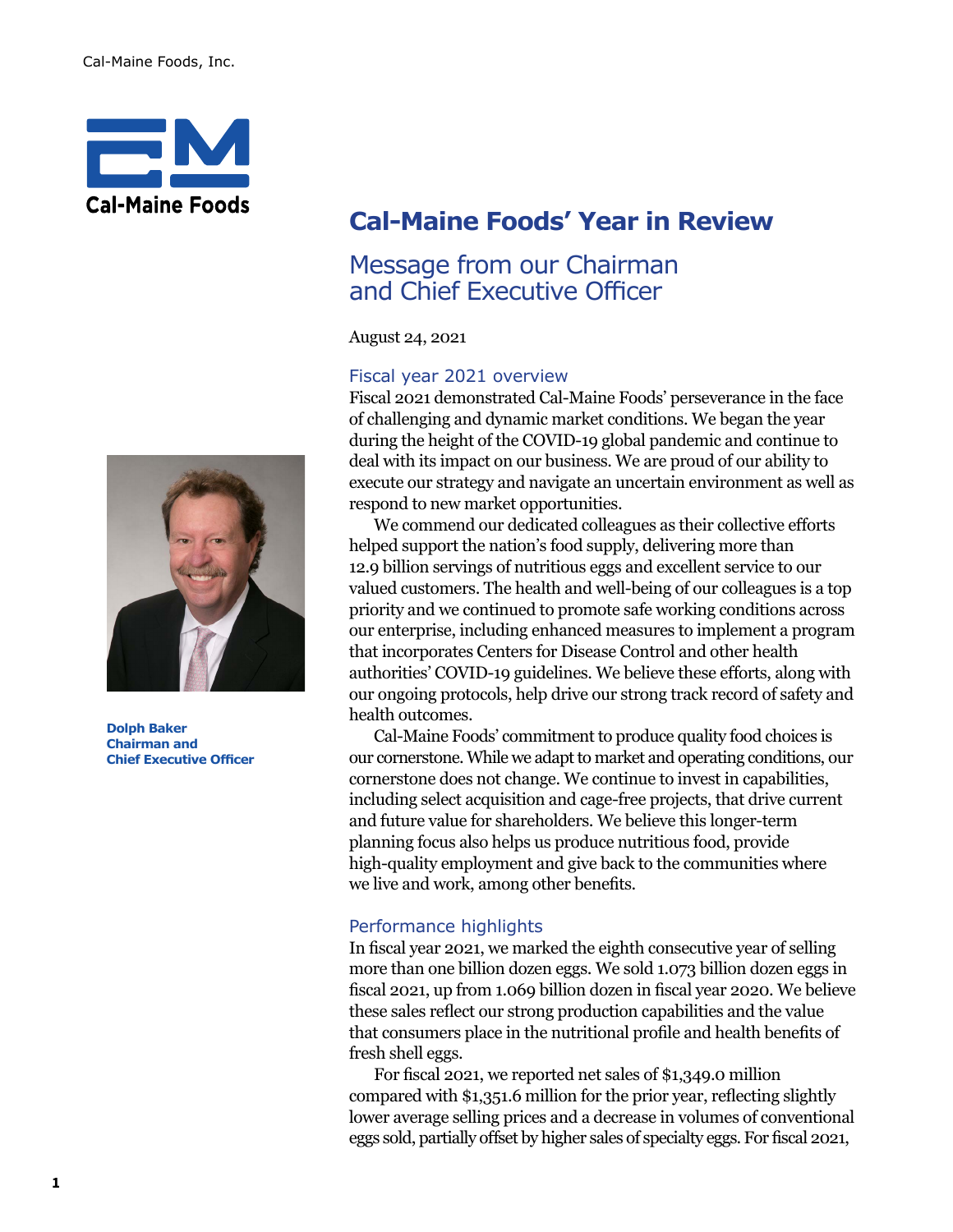

# **Cal-Maine Foods' Year in Review**

## Message from our Chairman and Chief Executive Officer

August 24, 2021

#### Fiscal year 2021 overview

Fiscal 2021 demonstrated Cal-Maine Foods' perseverance in the face of challenging and dynamic market conditions. We began the year during the height of the COVID-19 global pandemic and continue to deal with its impact on our business. We are proud of our ability to execute our strategy and navigate an uncertain environment as well as respond to new market opportunities.

 We commend our dedicated colleagues as their collective efforts helped support the nation's food supply, delivering more than 12.9 billion servings of nutritious eggs and excellent service to our valued customers. The health and well-being of our colleagues is a top priority and we continued to promote safe working conditions across our enterprise, including enhanced measures to implement a program that incorporates Centers for Disease Control and other health authorities' COVID-19 guidelines. We believe these efforts, along with our ongoing protocols, help drive our strong track record of safety and health outcomes.

Cal-Maine Foods' commitment to produce quality food choices is our cornerstone. While we adapt to market and operating conditions, our cornerstone does not change. We continue to invest in capabilities, including select acquisition and cage-free projects, that drive current and future value for shareholders. We believe this longer-term planning focus also helps us produce nutritious food, provide high-quality employment and give back to the communities where we live and work, among other benefits.

### Performance highlights

In fiscal year 2021, we marked the eighth consecutive year of selling more than one billion dozen eggs. We sold 1.073 billion dozen eggs in fiscal 2021, up from 1.069 billion dozen in fiscal year 2020. We believe these sales reflect our strong production capabilities and the value that consumers place in the nutritional profile and health benefits of fresh shell eggs.

 For fiscal 2021, we reported net sales of \$1,349.0 million compared with \$1,351.6 million for the prior year, reflecting slightly lower average selling prices and a decrease in volumes of conventional eggs sold, partially offset by higher sales of specialty eggs. For fiscal 2021,



**Dolph Baker Chairman and Chief Executive Officer**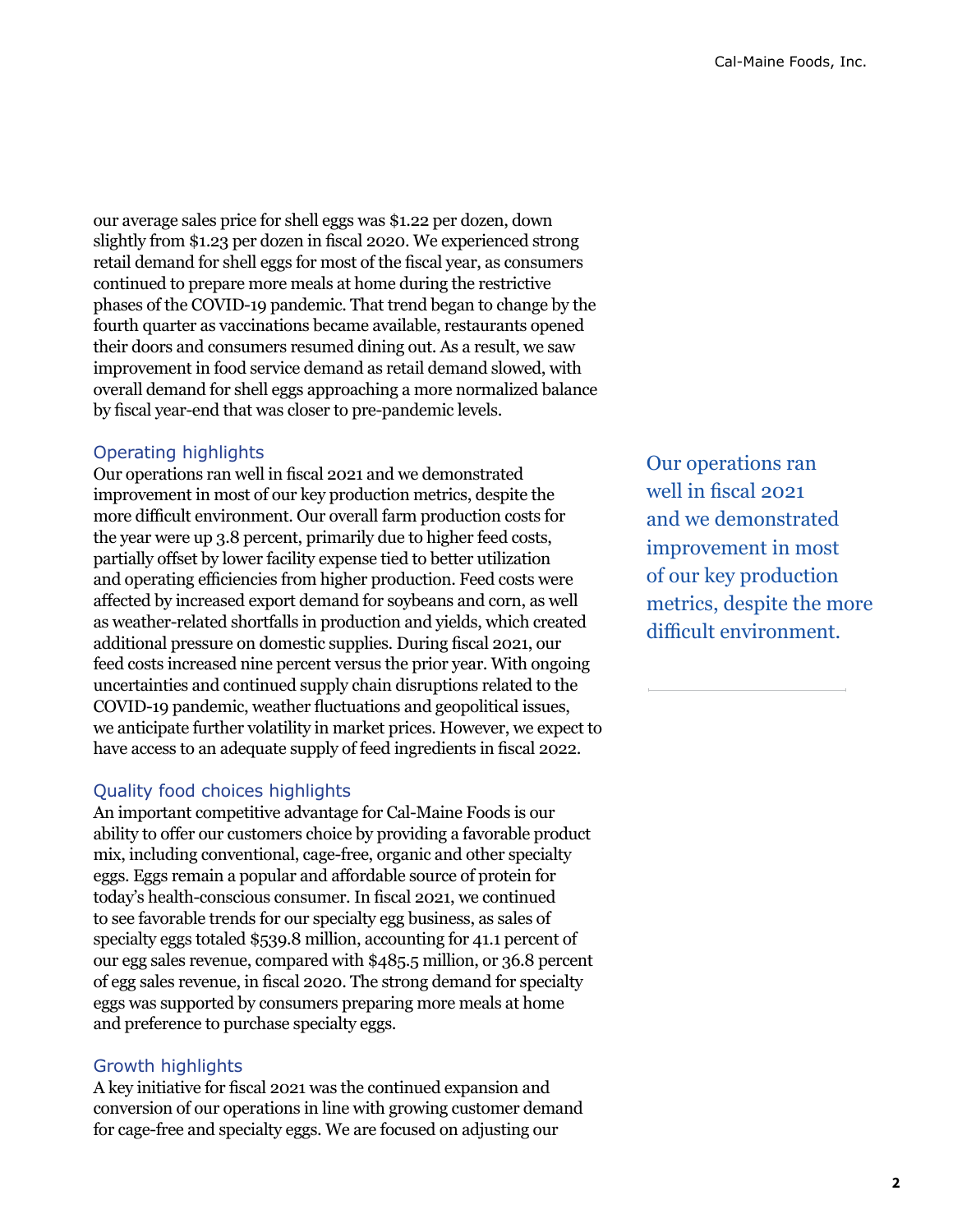our average sales price for shell eggs was \$1.22 per dozen, down slightly from \$1.23 per dozen in fiscal 2020. We experienced strong retail demand for shell eggs for most of the fiscal year, as consumers continued to prepare more meals at home during the restrictive phases of the COVID-19 pandemic. That trend began to change by the fourth quarter as vaccinations became available, restaurants opened their doors and consumers resumed dining out. As a result, we saw improvement in food service demand as retail demand slowed, with overall demand for shell eggs approaching a more normalized balance by fiscal year-end that was closer to pre-pandemic levels.

#### Operating highlights

Our operations ran well in fiscal 2021 and we demonstrated improvement in most of our key production metrics, despite the more difficult environment. Our overall farm production costs for the year were up 3.8 percent, primarily due to higher feed costs, partially offset by lower facility expense tied to better utilization and operating efficiencies from higher production. Feed costs were affected by increased export demand for soybeans and corn, as well as weather-related shortfalls in production and yields, which created additional pressure on domestic supplies. During fiscal 2021, our feed costs increased nine percent versus the prior year. With ongoing uncertainties and continued supply chain disruptions related to the COVID-19 pandemic, weather fluctuations and geopolitical issues, we anticipate further volatility in market prices. However, we expect to have access to an adequate supply of feed ingredients in fiscal 2022.

#### Quality food choices highlights

An important competitive advantage for Cal-Maine Foods is our ability to offer our customers choice by providing a favorable product mix, including conventional, cage-free, organic and other specialty eggs. Eggs remain a popular and affordable source of protein for today's health-conscious consumer. In fiscal 2021, we continued to see favorable trends for our specialty egg business, as sales of specialty eggs totaled \$539.8 million, accounting for 41.1 percent of our egg sales revenue, compared with \$485.5 million, or 36.8 percent of egg sales revenue, in fiscal 2020. The strong demand for specialty eggs was supported by consumers preparing more meals at home and preference to purchase specialty eggs.

#### Growth highlights

A key initiative for fiscal 2021 was the continued expansion and conversion of our operations in line with growing customer demand for cage-free and specialty eggs. We are focused on adjusting our

Our operations ran well in fiscal 2021 and we demonstrated improvement in most of our key production metrics, despite the more difficult environment.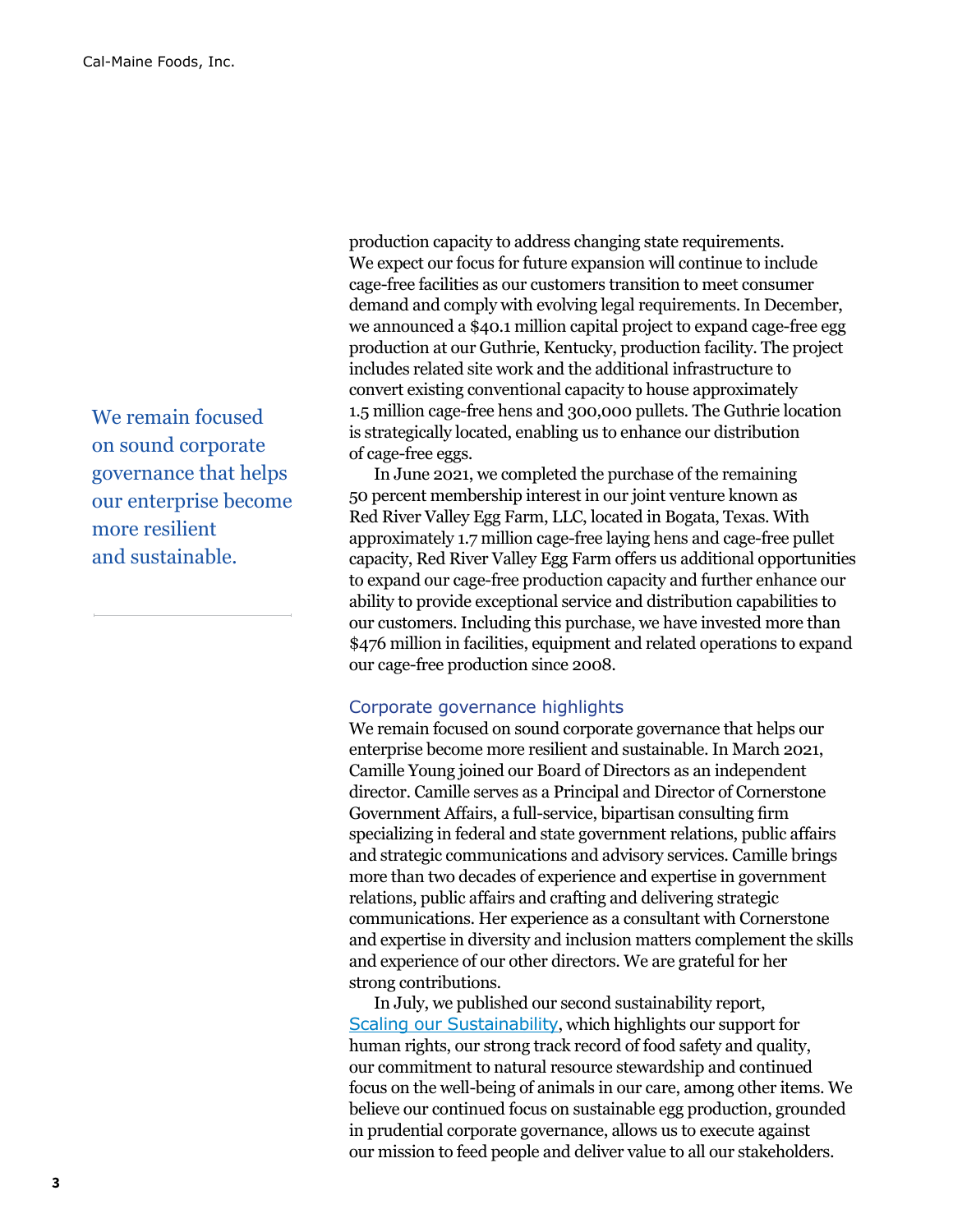We remain focused on sound corporate governance that helps our enterprise become more resilient and sustainable.

production capacity to address changing state requirements. We expect our focus for future expansion will continue to include cage-free facilities as our customers transition to meet consumer demand and comply with evolving legal requirements. In December, we announced a \$40.1 million capital project to expand cage-free egg production at our Guthrie, Kentucky, production facility. The project includes related site work and the additional infrastructure to convert existing conventional capacity to house approximately 1.5 million cage-free hens and 300,000 pullets. The Guthrie location is strategically located, enabling us to enhance our distribution of cage-free eggs.

In June 2021, we completed the purchase of the remaining 50 percent membership interest in our joint venture known as Red River Valley Egg Farm, LLC, located in Bogata, Texas. With approximately 1.7 million cage-free laying hens and cage-free pullet capacity, Red River Valley Egg Farm offers us additional opportunities to expand our cage-free production capacity and further enhance our ability to provide exceptional service and distribution capabilities to our customers. Including this purchase, we have invested more than \$476 million in facilities, equipment and related operations to expand our cage-free production since 2008.

#### Corporate governance highlights

We remain focused on sound corporate governance that helps our enterprise become more resilient and sustainable. In March 2021, Camille Young joined our Board of Directors as an independent director. Camille serves as a Principal and Director of Cornerstone Government Affairs, a full-service, bipartisan consulting firm specializing in federal and state government relations, public affairs and strategic communications and advisory services. Camille brings more than two decades of experience and expertise in government relations, public affairs and crafting and delivering strategic communications. Her experience as a consultant with Cornerstone and expertise in diversity and inclusion matters complement the skills and experience of our other directors. We are grateful for her strong contributions.

In July, we published our second sustainability report, [Scaling our Sustainability](https://www.calmainefoods.com/media/1188/calm-fy2020-sustainability-report.pdf), which highlights our support for human rights, our strong track record of food safety and quality, our commitment to natural resource stewardship and continued focus on the well-being of animals in our care, among other items. We believe our continued focus on sustainable egg production, grounded in prudential corporate governance, allows us to execute against our mission to feed people and deliver value to all our stakeholders.